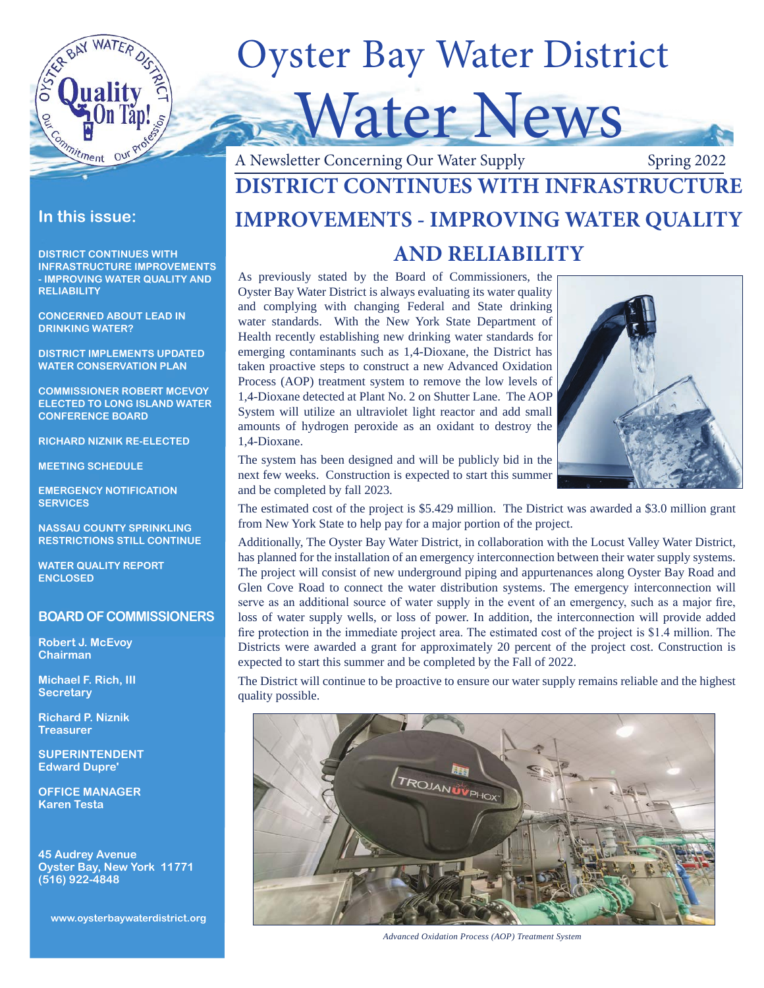

# Oyster Bay Water District



# A Newsletter Concerning Our Water Supply **DISTRICT CONTINUES WITH INFRASTRUCTURE**

### Spring 2022

# **IMPROVEMENTS - IMPROVING WATER QUALITY**

# **AND RELIABILITY**

As previously stated by the Board of Commissioners, the Oyster Bay Water District is always evaluating its water quality and complying with changing Federal and State drinking water standards. With the New York State Department of Health recently establishing new drinking water standards for emerging contaminants such as 1,4-Dioxane, the District has taken proactive steps to construct a new Advanced Oxidation Process (AOP) treatment system to remove the low levels of 1,4-Dioxane detected at Plant No. 2 on Shutter Lane. The AOP System will utilize an ultraviolet light reactor and add small amounts of hydrogen peroxide as an oxidant to destroy the 1,4-Dioxane.



The system has been designed and will be publicly bid in the next few weeks. Construction is expected to start this summer and be completed by fall 2023.

The estimated cost of the project is \$5.429 million. The District was awarded a \$3.0 million grant from New York State to help pay for a major portion of the project.

Additionally, The Oyster Bay Water District, in collaboration with the Locust Valley Water District, has planned for the installation of an emergency interconnection between their water supply systems. The project will consist of new underground piping and appurtenances along Oyster Bay Road and Glen Cove Road to connect the water distribution systems. The emergency interconnection will serve as an additional source of water supply in the event of an emergency, such as a major fire, loss of water supply wells, or loss of power. In addition, the interconnection will provide added fire protection in the immediate project area. The estimated cost of the project is \$1.4 million. The Districts were awarded a grant for approximately 20 percent of the project cost. Construction is expected to start this summer and be completed by the Fall of 2022.

The District will continue to be proactive to ensure our water supply remains reliable and the highest quality possible.



*Advanced Oxidation Process (AOP) Treatment System*

### **In this issue:**

**DISTRICT CONTINUES WITH INFRASTRUCTURE IMPROVEMENTS - IMPROVING WATER QUALITY AND RELIABILITY**

**CONCERNED ABOUT LEAD IN DRINKING WATER?** 

**DISTRICT IMPLEMENTS UPDATED WATER CONSERVATION PLAN** 

**COMMISSIONER ROBERT MCEVOY ELECTED TO LONG ISLAND WATER CONFERENCE BOARD**

**RICHARD NIZNIK RE-ELECTED**

**MEETING SCHEDULE**

**EMERGENCY NOTIFICATION SERVICES**

**NASSAU COUNTY SPRINKLING RESTRICTIONS STILL CONTINUE**

**WATER QUALITY REPORT ENCLOSED**

#### **BOARD OF COMMISSIONERS**

**Robert J. McEvoy Chairman**

**Michael F. Rich, III Secretary**

**Richard P. Niznik Treasurer**

**SUPERINTENDENT Edward Dupre'**

**OFFICE MANAGER Karen Testa**

**45 Audrey Avenue Oyster Bay, New York 11771 (516) 922-4848**

**www.oysterbaywaterdistrict.org**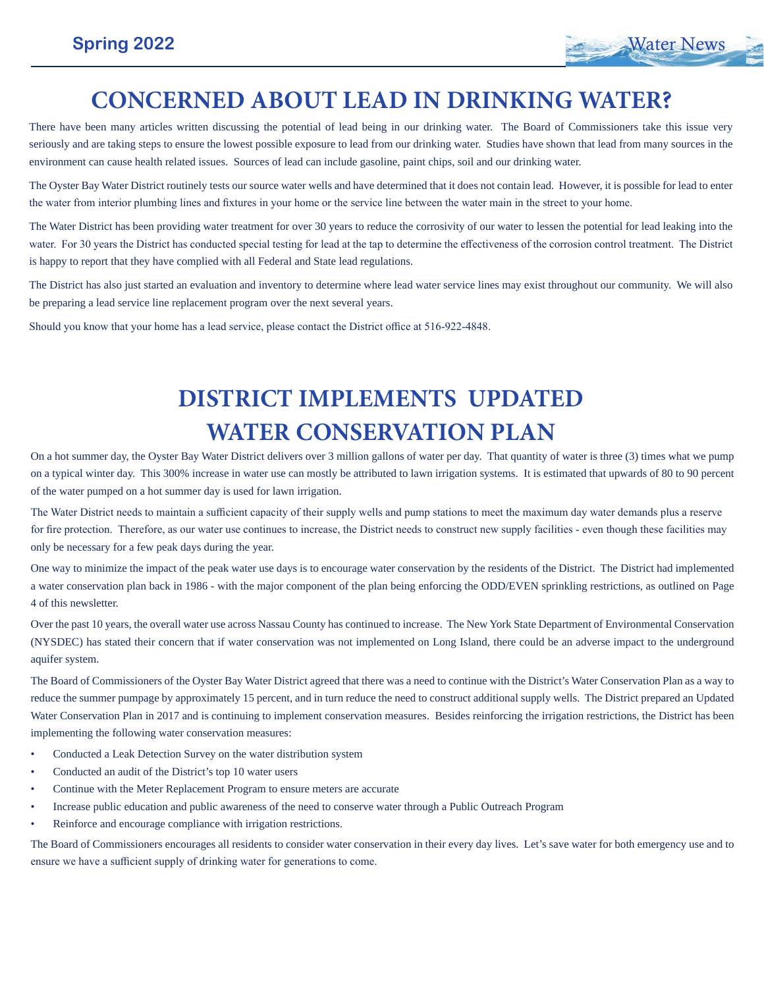# **CONCERNED ABOUT LEAD IN DRINKING WATER?**

There have been many articles written discussing the potential of lead being in our drinking water. The Board of Commissioners take this issue very seriously and are taking steps to ensure the lowest possible exposure to lead from our drinking water. Studies have shown that lead from many sources in the environment can cause health related issues. Sources of lead can include gasoline, paint chips, soil and our drinking water.

The Oyster Bay Water District routinely tests our source water wells and have determined that it does not contain lead. However, it is possible for lead to enter the water from interior plumbing lines and fixtures in your home or the service line between the water main in the street to your home.

The Water District has been providing water treatment for over 30 years to reduce the corrosivity of our water to lessen the potential for lead leaking into the water. For 30 years the District has conducted special testing for lead at the tap to determine the effectiveness of the corrosion control treatment. The District is happy to report that they have complied with all Federal and State lead regulations.

The District has also just started an evaluation and inventory to determine where lead water service lines may exist throughout our community. We will also be preparing a lead service line replacement program over the next several years.

Should you know that your home has a lead service, please contact the District office at 516-922-4848.

# **DISTRICT IMPLEMENTS UPDATED WATER CONSERVATION PLAN**

On a hot summer day, the Oyster Bay Water District delivers over 3 million gallons of water per day. That quantity of water is three (3) times what we pump on a typical winter day. This 300% increase in water use can mostly be attributed to lawn irrigation systems. It is estimated that upwards of 80 to 90 percent of the water pumped on a hot summer day is used for lawn irrigation.

The Water District needs to maintain a sufficient capacity of their supply wells and pump stations to meet the maximum day water demands plus a reserve for fire protection. Therefore, as our water use continues to increase, the District needs to construct new supply facilities - even though these facilities may only be necessary for a few peak days during the year.

One way to minimize the impact of the peak water use days is to encourage water conservation by the residents of the District. The District had implemented a water conservation plan back in 1986 - with the major component of the plan being enforcing the ODD/EVEN sprinkling restrictions, as outlined on Page 4 of this newsletter.

Over the past 10 years, the overall water use across Nassau County has continued to increase. The New York State Department of Environmental Conservation (NYSDEC) has stated their concern that if water conservation was not implemented on Long Island, there could be an adverse impact to the underground aquifer system.

The Board of Commissioners of the Oyster Bay Water District agreed that there was a need to continue with the District's Water Conservation Plan as a way to reduce the summer pumpage by approximately 15 percent, and in turn reduce the need to construct additional supply wells. The District prepared an Updated Water Conservation Plan in 2017 and is continuing to implement conservation measures. Besides reinforcing the irrigation restrictions, the District has been implementing the following water conservation measures:

- Conducted a Leak Detection Survey on the water distribution system
- Conducted an audit of the District's top 10 water users
- Continue with the Meter Replacement Program to ensure meters are accurate
- Increase public education and public awareness of the need to conserve water through a Public Outreach Program
- Reinforce and encourage compliance with irrigation restrictions.

The Board of Commissioners encourages all residents to consider water conservation in their every day lives. Let's save water for both emergency use and to ensure we have a sufficient supply of drinking water for generations to come.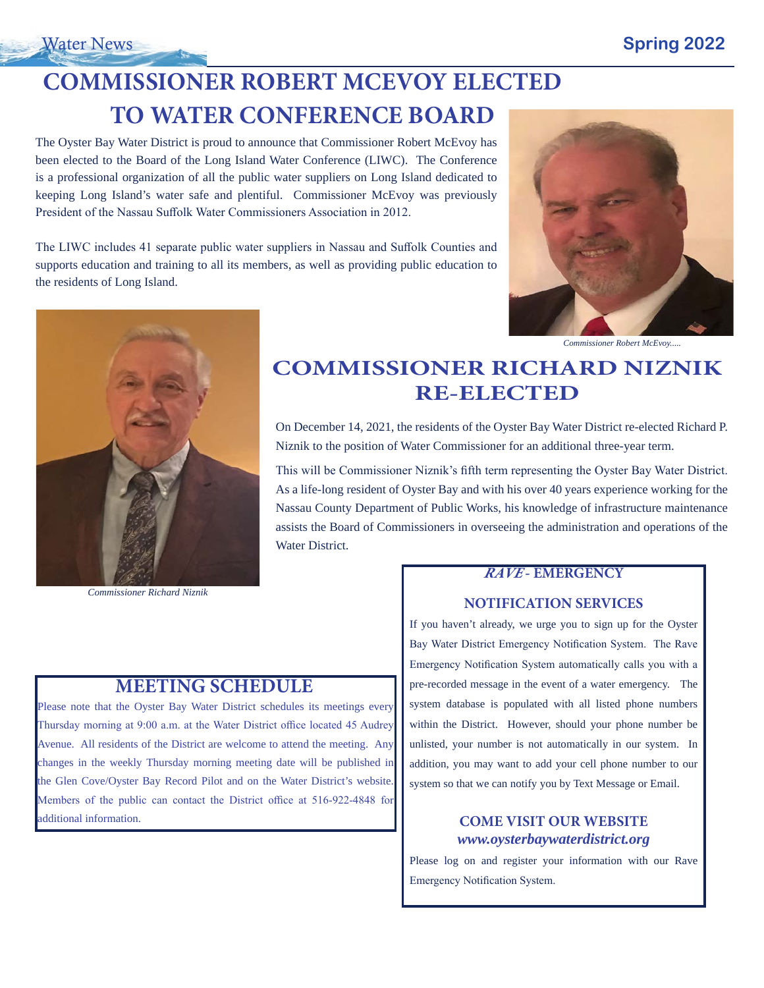# **COMMISSIONER ROBERT MCEVOY ELECTED TO WATER CONFERENCE BOARD**

The Oyster Bay Water District is proud to announce that Commissioner Robert McEvoy has been elected to the Board of the Long Island Water Conference (LIWC). The Conference is a professional organization of all the public water suppliers on Long Island dedicated to keeping Long Island's water safe and plentiful. Commissioner McEvoy was previously President of the Nassau Suffolk Water Commissioners Association in 2012.

The LIWC includes 41 separate public water suppliers in Nassau and Suffolk Counties and supports education and training to all its members, as well as providing public education to the residents of Long Island.



*Commissioner Robert McEvoy.....*



*Commissioner Richard Niznik*

# **COMMISSIONER RICHARD NIZNIK RE-ELECTED**

On December 14, 2021, the residents of the Oyster Bay Water District re-elected Richard P. Niznik to the position of Water Commissioner for an additional three-year term.

This will be Commissioner Niznik's fifth term representing the Oyster Bay Water District. As a life-long resident of Oyster Bay and with his over 40 years experience working for the Nassau County Department of Public Works, his knowledge of infrastructure maintenance assists the Board of Commissioners in overseeing the administration and operations of the Water District.

### **RAVE - EMERGENCY**

#### **NOTIFICATION SERVICES**

If you haven't already, we urge you to sign up for the Oyster Bay Water District Emergency Notification System. The Rave Emergency Notification System automatically calls you with a pre-recorded message in the event of a water emergency. The system database is populated with all listed phone numbers within the District. However, should your phone number be unlisted, your number is not automatically in our system. In addition, you may want to add your cell phone number to our system so that we can notify you by Text Message or Email.

### **COME VISIT OUR WEBSITE** *www.oysterbaywaterdistrict.org*

Please log on and register your information with our Rave Emergency Notification System.

### **MEETING SCHEDULE**

Please note that the Oyster Bay Water District schedules its meetings every Thursday morning at 9:00 a.m. at the Water District office located 45 Audrey Avenue. All residents of the District are welcome to attend the meeting. Any changes in the weekly Thursday morning meeting date will be published in the Glen Cove/Oyster Bay Record Pilot and on the Water District's website. Members of the public can contact the District office at 516-922-4848 for additional information.